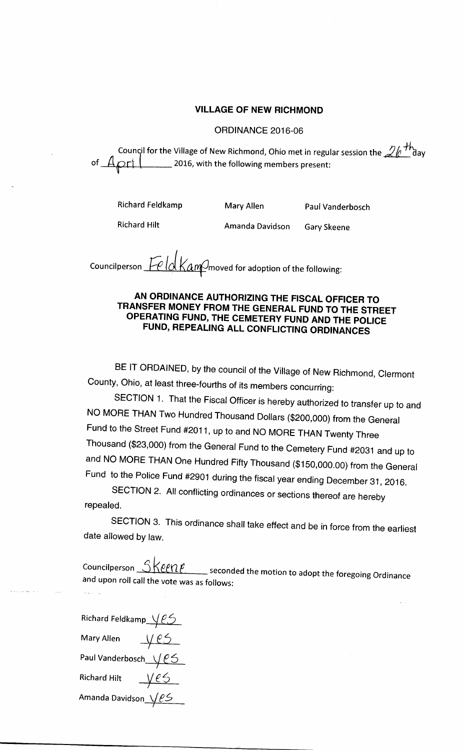## VILLAGE OF NEW RICHMOND

## ORDINANCE 2016-06

Council for the Village of New Richmond, Ohio met in regular session the  $2e^{Th}$ day of  $A$ prt  $\Box$  2016, with the following members present: **charge 1. 2016**, with the following members present:

Richard Feldkamp

Mary Allen

Paul Vanderbosch

Richard Hilt

Amanda Davidson

Gary Skeene

Councilperson  $\text{Fe}/\text{d}$  Kam  $\text{O}$  moved for adoption of the following:

## AN ORDINANCE AUTHORIZING THE FISCAL OFFICER TO TRANSFER MONEY FROM THE GENERAL FUND TO THE STREET OPERATING FUND, THE CEMETERY FUND AND THE POLICE FUND, REPEALING ALL CONFLICTING ORDINANCES

BE IT ORDAINED, by the council of the Village of New Richmond, Clermont County, Ohio, at least three-fourths of its members concurring:

SECTION 1. That the Fiscal Officer is hereby authorized to transfer up to and NO MORE THAN Two Hundred Thousand Dollars (\$200,000) from the General Fund to the Street Fund #2011, up to and NO MORE THAN Twenty Three Thousand (\$23,000) from the General Fund to the Cemetery Fund #2031 and up to and NO MORE THAN One Hundred Fifty Thousand (\$ 150,000. 00) from the General Fund to the Police Fund #<sup>2901</sup> during the fiscal year ending December 31, 2016.

SECTION 2. All conflicting ordinances or sections thereof are hereby repealed.

SECTION 3. This ordinance shall take effect and be in force from the earliest date allowed by law.

Councilperson  $\supset$ seconded the motion to adopt the foregoing Ordinance and upon roll call the vote was as follows:

Richard Feldkamp $\sqrt{25}$ Mary Allen  $\overline{\phantom{a}}$ mary Allen — Y CO<br>Paul Vanderbosch\_\_\/ C Richard Hilt Amanda Davidson\_\/*L*S